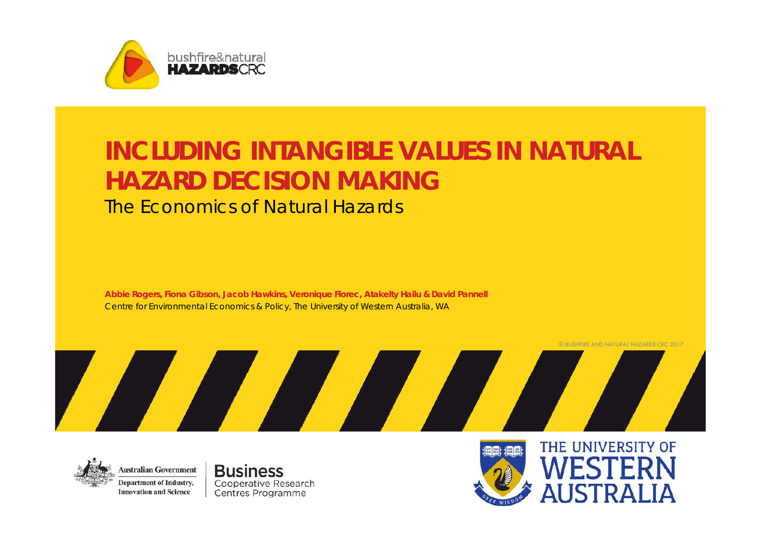

#### **INCLUDING INTANGIBLE VALUES IN NATURAL HAZARD DECISION MAKING** The Economics of Natural Hazards

**Abbie Rogers, Fiona Gibson, Jacob Hawkins, Veronique Florec, Atakelty Hailu & David Pannell**  Centre for Environmental Economics & Policy, The University of Western Australia, WA



**Business** Cooperative Research Centres Programme



© BUSHFIRE AND NATURAL HAZARDS CRC 2017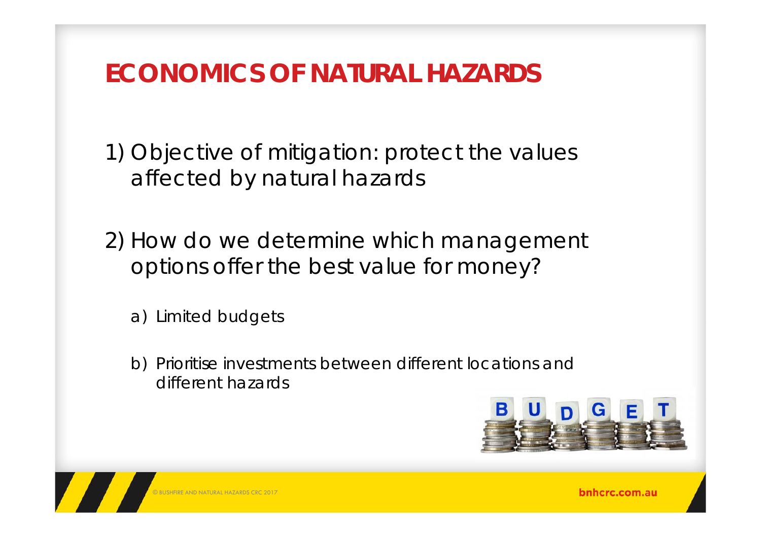#### **ECONOMICS OF NATURAL HAZARDS**

1) Objective of mitigation: protect the values affected by natural hazards

2) How do we determine which management options offer the best value for money?

a) Limited budgets

b) Prioritise investments between different locations and different hazards



© BUSHFIRE AND NATURAL HAZARDS CRC 2017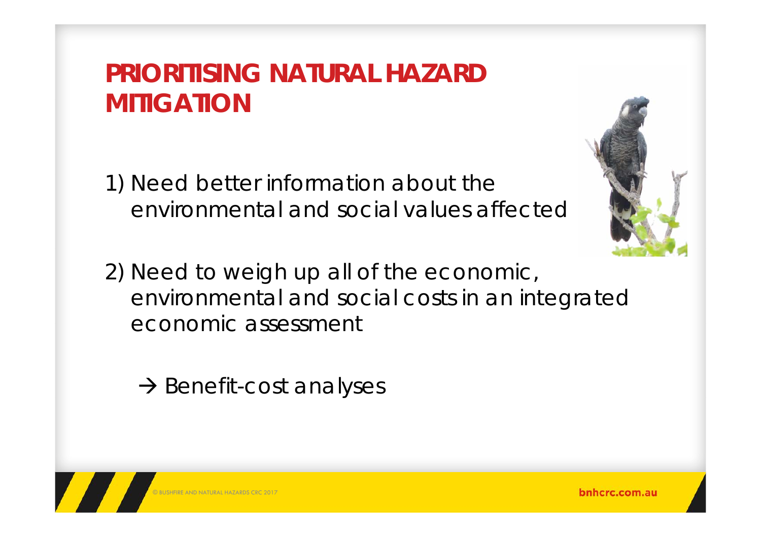## **PRIORITISING NATURAL HAZARD MITIGATION**

1) Need better information about the environmental and social values affected



2) Need to weigh up all of the economic, environmental and social costs in an integrated economic assessment

 $\rightarrow$  Benefit-cost analyses

© BUSHFIRE AND NATURAL HAZARDS CRC 2017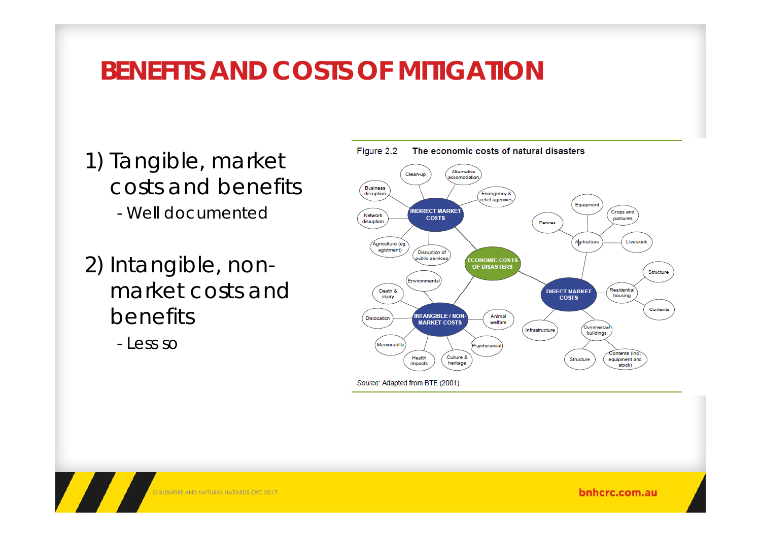#### **BENEFITS AND COSTS OF MITIGATION**

- 1) Tangible, market costs and benefits - Well documented
- 2) Intangible, nonmarket costs and benefits

- Less so



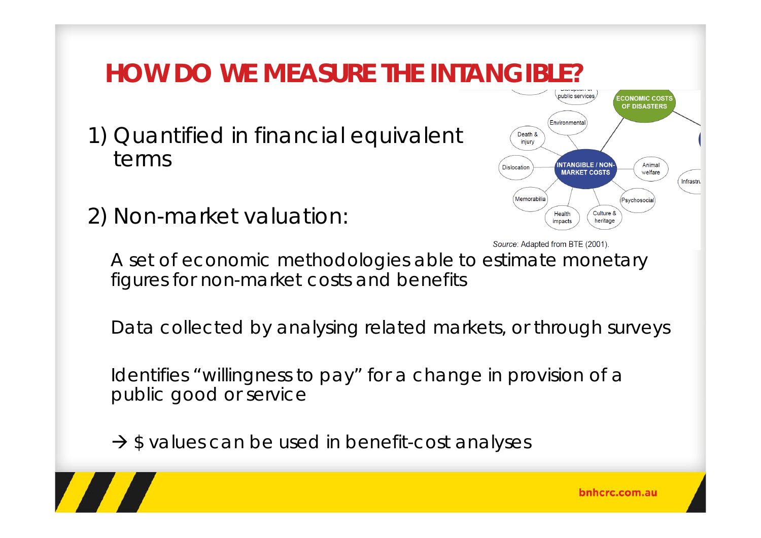## **HOW DO WE MEASURE THE INTANGIBLE?**

1) Quantified in financial equivalent terms

2) Non-market valuation:



Source: Adapted from BTE (2001).

A set of economic methodologies able to estimate monetary figures for non-market costs and benefits

Data collected by analysing related markets, or through surveys

Identifies "willingness to pay" for a change in provision of a public good or service

 $\rightarrow$  \$ values can be used in benefit-cost analyses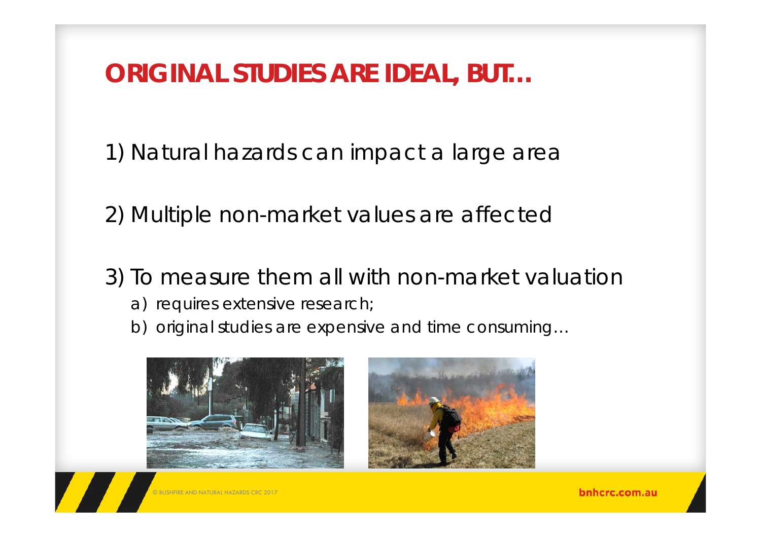#### **ORIGINAL STUDIES ARE IDEAL, BUT…**

1) Natural hazards can impact a large area

2) Multiple non-market values are affected

- 3) To measure them all with non-market valuation
	- a) requires extensive research;
	- b) original studies are expensive and time consuming…

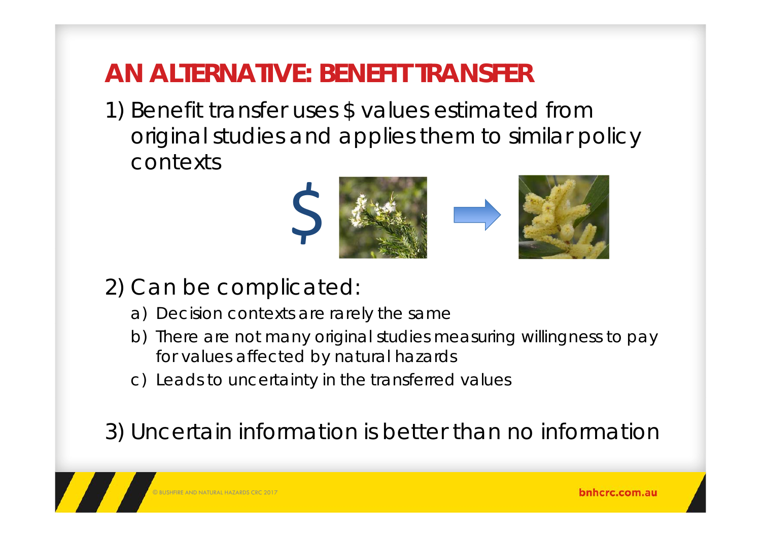## **AN ALTERNATIVE: BENEFIT TRANSFER**

1) Benefit transfer uses \$ values estimated from original studies and applies them to similar policy contexts



2) Can be complicated:

- a) Decision contexts are rarely the same
- b) There are not many original studies measuring willingness to pay for values affected by natural hazards
- c) Leads to uncertainty in the transferred values

#### 3) Uncertain information is better than no information

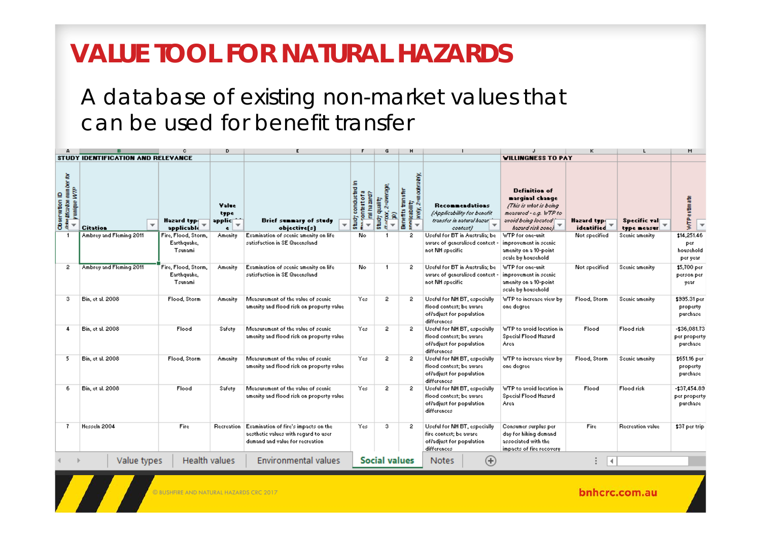# **VALUE TOOL FOR NATURAL HAZARDS**

#### A database of existing non-market values that can be used for benefit transfer

|                                                                                                                                                                                                                                                                                                                                                                                                                                                                        |                                            |                                               |                                                                  |                                                                                                                          |                                                                                 | G                            |                                                                        |                                                                                                    |                                                                                                                                                                 | к                        |                             | M                                            |
|------------------------------------------------------------------------------------------------------------------------------------------------------------------------------------------------------------------------------------------------------------------------------------------------------------------------------------------------------------------------------------------------------------------------------------------------------------------------|--------------------------------------------|-----------------------------------------------|------------------------------------------------------------------|--------------------------------------------------------------------------------------------------------------------------|---------------------------------------------------------------------------------|------------------------------|------------------------------------------------------------------------|----------------------------------------------------------------------------------------------------|-----------------------------------------------------------------------------------------------------------------------------------------------------------------|--------------------------|-----------------------------|----------------------------------------------|
| <b>STUDY IDENTIFICATION AND RELEVANCE</b>                                                                                                                                                                                                                                                                                                                                                                                                                              |                                            |                                               |                                                                  |                                                                                                                          |                                                                                 |                              |                                                                        | <b>WILLINGNESS TO PAY</b>                                                                          |                                                                                                                                                                 |                          |                             |                                              |
| $\begin{array}{l l} \hline \textbf{co}\,\textbf{er}\,\textbf{v}\textbf{a}\textbf{b}\textbf{o}\textbf{n}\,\, \textbf{ID} \\\\ \hline \textbf{a} \textbf{a}\textbf{a}\textbf{a}\textbf{f}\textbf{G}\textbf{a}\textbf{f}\textbf{o}\textbf{n}\,\, \textbf{u}\textbf{m}\,\textbf{b}\textbf{c}\textbf{r}\,\, \textbf{b}\textbf{r} \\\\ \hline \textbf{d}\textbf{y}\textbf{u}\textbf{u}\textbf{q}\textbf{u}\textbf{b}\textbf{H}\textbf{f}\textbf{f}\textbf{f}\textbf{f}\text$ | $\overline{\mathbf{v}}$<br><b>Citation</b> | Hazard typ $\bar{\tau}$<br>applicable         | Value<br>type<br>applic<br>$\overline{\mathbf{v}}$<br>$\epsilon$ | <b>Brief summary of study</b><br>$\overline{\phantom{a}}$<br>objective[s]                                                | onducted in<br>rai ha zard<br>5<br>Study<br>*** col<br>$\overline{\phantom{a}}$ | ê<br>quality<br><b>Study</b> | HI colerativity<br>transfer<br>Ñ<br>Cabill1<br>$\overline{\mathbf{v}}$ | <b>Recommendations</b><br>Moplicability for benefit<br>transfer in notwol hoper"<br>context)       | <b>Definition of</b><br>marginal change<br>(This is what is being)<br>moasured - e.g. IvTP to<br>avoid being located ["<br>$h$ ozord risk zone) $^{\mathrm{w}}$ | Hazard typ<br>identified | Specific val<br>type measur | WTPestmate<br>$\overline{\mathbf{v}}$        |
|                                                                                                                                                                                                                                                                                                                                                                                                                                                                        | Ambrey and Fleming 2011                    | Fire, Flood, Storm,<br>Earthquake,<br>Tsunami | Amenity                                                          | Examination of scenic amenity on life<br>satisfaction in SE Queensland                                                   | No                                                                              |                              |                                                                        | Useful for BT in Australia; be<br>aware of generalised context -<br>not NH specific                | WTP for one-unit<br>improvement in scenic<br>amenity on a 10-point.<br>scale by household                                                                       | Not specified            | Scenic amenity              | \$14,251.46<br>per<br>household<br>per year. |
| 2                                                                                                                                                                                                                                                                                                                                                                                                                                                                      | Ambrey and Fleming 2011                    | Fire, Flood, Storm,<br>Earthquake,<br>Tsunami | Amenity                                                          | Examination of scenic amenity on life<br>satisfaction in SE Queensland                                                   | No.                                                                             |                              | 2                                                                      | Useful for BT in Australia: be-<br>aware of generalised context<br>not NH specific                 | WTP for one-unit<br>improvement in scenic<br>amenity on a 10-point.<br>scale by household.                                                                      | Not specified            | Scenic amenity              | \$5,700 per<br>person per<br>year            |
| з                                                                                                                                                                                                                                                                                                                                                                                                                                                                      | Bin, et al. 2008                           | Flood, Storm                                  | <b>Amenity</b>                                                   | Measurement of the value of scenic<br>amenity and flood risk on property value                                           | Yes                                                                             | 2                            | 2                                                                      | Useful for NH BT, especially<br>flood context; be aware<br>of/adjust for population<br>differences | WTP to increase view but<br>one degree                                                                                                                          | Flood, Storm             | Scenic amenity              | \$335.31 per<br>property<br>purchase         |
| 4                                                                                                                                                                                                                                                                                                                                                                                                                                                                      | Bin, et al. 2008                           | Flood                                         | Safety                                                           | Measurement of the value of scenic<br>amenity and flood risk on property value                                           | Yes                                                                             | 2                            |                                                                        | Useful for NH BT, especially<br>flood context; be aware<br>of/adjust for population<br>differences | WTP to avoid location in<br><b>Special Flood Hazard</b><br>Area                                                                                                 | Flood                    | Flood risk                  | $-136,081.73$<br>per property<br>purchase    |
| 5                                                                                                                                                                                                                                                                                                                                                                                                                                                                      | Bin, et al. 2008                           | Flood, Storm                                  | <b>Amenity</b>                                                   | Measurement of the value of scenic<br>amenity and flood risk on property value.                                          | Yes                                                                             | 2                            | 2                                                                      | Useful for NH BT, especially<br>flood context; be aware<br>of/adjust for population<br>differences | WTP to increase view by<br>one degree                                                                                                                           | Flood, Storm             | Scenic amenity              | \$651.16 per<br>property<br>purchase         |
| 6                                                                                                                                                                                                                                                                                                                                                                                                                                                                      | Bin, et al. 2008                           | Flood                                         | Safety                                                           | Measurement of the value of scenic<br>amenity and flood risk on property value                                           | Yes                                                                             | 2                            | 2                                                                      | Useful for NH BT, especially<br>flood context; be aware<br>of/adjust for population<br>differences | WTP to avoid location in<br><b>Special Flood Hazard</b><br>Area                                                                                                 | Flood                    | Flood risk                  | $-137.454.89$<br>per property<br>purchase    |
| 7                                                                                                                                                                                                                                                                                                                                                                                                                                                                      | Hesseln 2004                               | Fire                                          | <b>Recreation</b>                                                | Examination of fire's impacts on the<br>aesthetic values with regard to user<br>demand and value for recreation.         | Yes                                                                             | 3.                           |                                                                        | Useful for NH BT, especially<br>fire context; be aware<br>of/adjust for population<br>differences  | Consumer surplus per<br>day for hiking demand<br>associated with the<br>impacts of fire recovery                                                                | Fire                     | <b>Recreation value</b>     | \$37 per trip                                |
|                                                                                                                                                                                                                                                                                                                                                                                                                                                                        |                                            |                                               |                                                                  | Health values<br><b>Environmental values</b><br><b>Social values</b><br>$^{\rm (+)}$<br>Value types<br><b>Notes</b><br>м |                                                                                 |                              |                                                                        |                                                                                                    |                                                                                                                                                                 |                          |                             |                                              |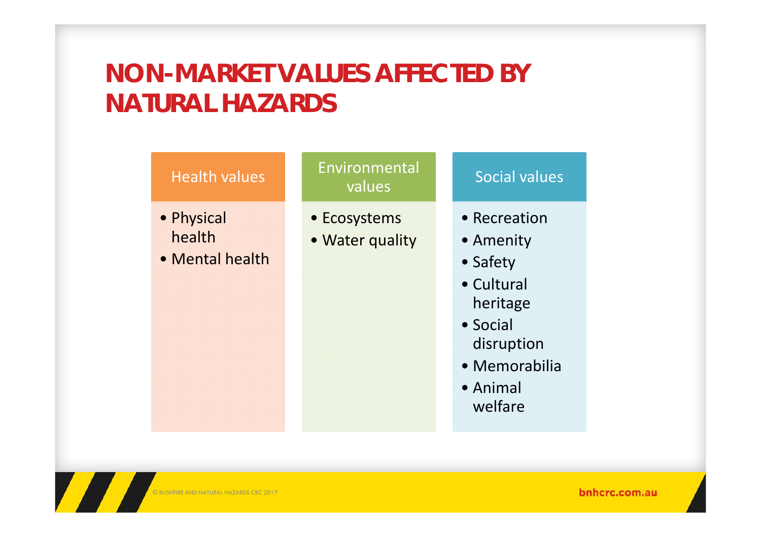## **NON-MARKET VALUES AFFECTED BY NATURAL HAZARDS**

| <b>Health values</b>                    | Environmental<br>values         | <b>Social values</b>                                                                                                              |
|-----------------------------------------|---------------------------------|-----------------------------------------------------------------------------------------------------------------------------------|
| • Physical<br>health<br>• Mental health | • Ecosystems<br>• Water quality | • Recreation<br>• Amenity<br>• Safety<br>• Cultural<br>heritage<br>• Social<br>disruption<br>• Memorabilia<br>• Animal<br>welfare |

**TA**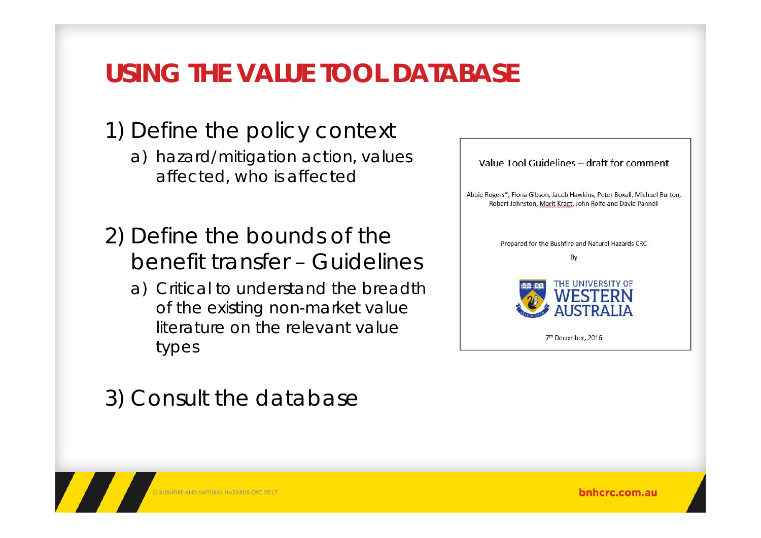#### **USING THE VALUE TOOL DATABASE**

#### 1) Define the policy context

- a) hazard/mitigation action, values affected, who is affected
- 2) Define the bounds of the benefit transfer – Guidelines
	- a) Critical to understand the breadth of the existing non-market value literature on the relevant value types



#### 3) Consult the database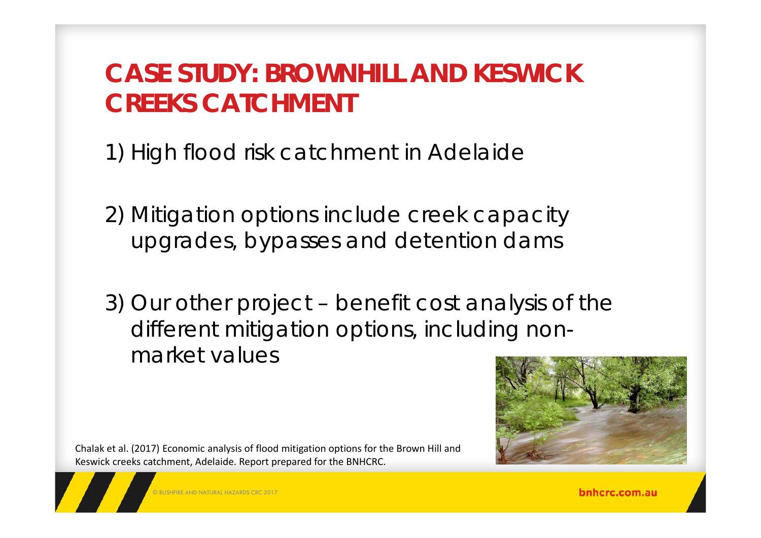## **CASE STUDY: BROWNHILL AND KESWICK CREEKS CATCHMENT**

1) High flood risk catchment in Adelaide

2) Mitigation options include creek capacity upgrades, bypasses and detention dams

3) Our other project – benefit cost analysis of the different mitigation options, including nonmarket values

Chalak et al. (2017) Economic analysis of flood mitigation options for the Brown Hill and Keswick creeks catchment, Adelaide. Report prepared for the BNHCRC.



© BUSHFIRE AND NATURAL HAZARDS CRC 2017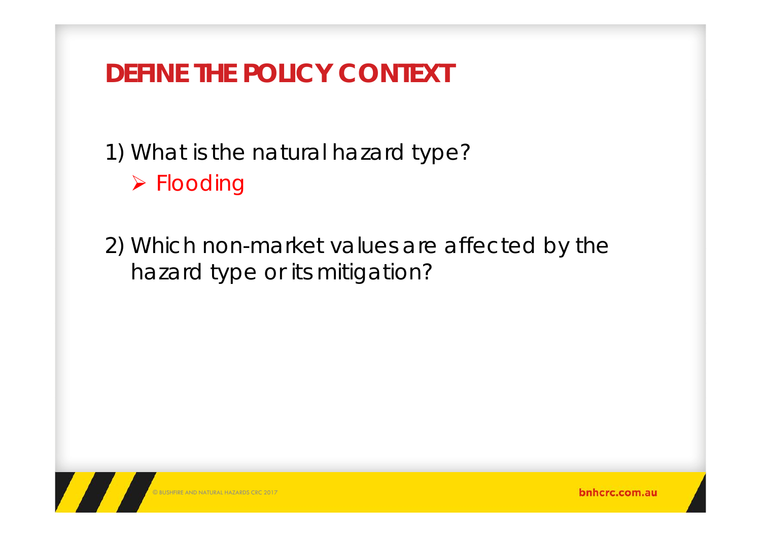## **DEFINE THE POLICY CONTEXT**

1) What is the natural hazard type? **≻ Flooding** 

2) Which non-market values are affected by the hazard type or its mitigation?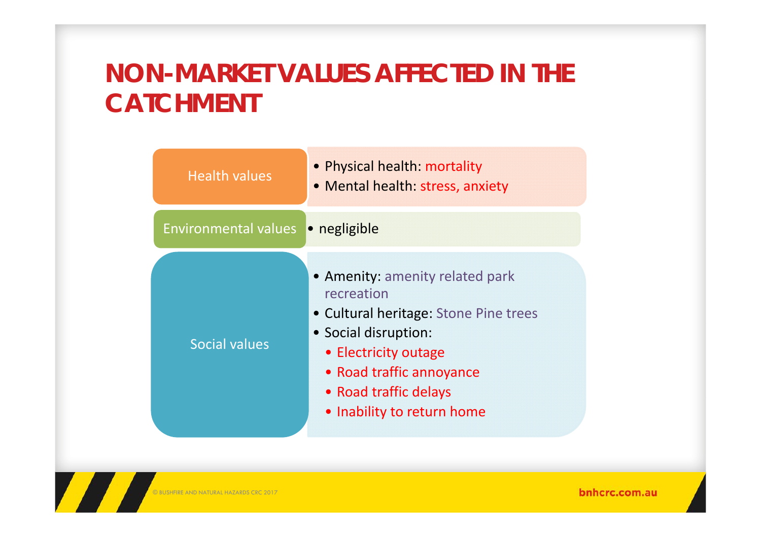## **NON-MARKET VALUES AFFECTED IN THE CATCHMENT**

| <b>Health values</b>              | • Physical health: mortality<br>• Mental health: stress, anxiety                                                                                                                                                          |
|-----------------------------------|---------------------------------------------------------------------------------------------------------------------------------------------------------------------------------------------------------------------------|
| Environmental values • negligible |                                                                                                                                                                                                                           |
| <b>Social values</b>              | • Amenity: amenity related park<br>recreation<br>• Cultural heritage: Stone Pine trees<br>• Social disruption:<br>• Electricity outage<br>• Road traffic annoyance<br>• Road traffic delays<br>• Inability to return home |

© BUSHFIRE AND NATURAL HAZARDS CRC 2017

 $\boldsymbol{\mathcal{H}}$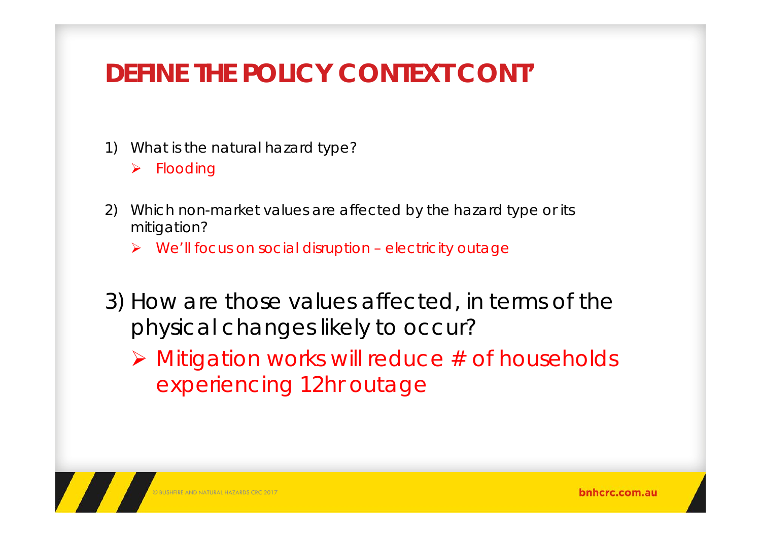## **DEFINE THE POLICY CONTEXT CONT'**

- 1) What is the natural hazard type?
	- $\blacktriangleright$ Flooding
- 2) Which non-market values are affected by the hazard type or its mitigation?
	- ▶ We'll focus on social disruption electricity outage
- 3) How are those values affected, in terms of the physical changes likely to occur?
	- **▶ Mitigation works will reduce # of households** experiencing 12hr outage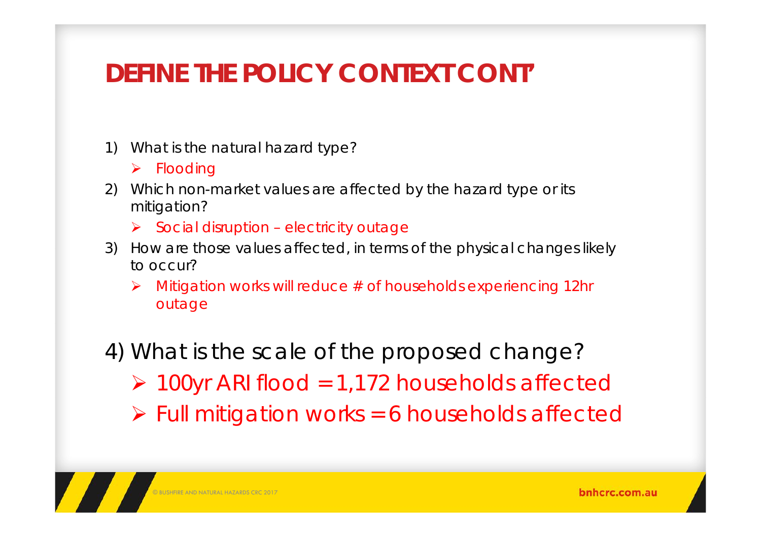## **DEFINE THE POLICY CONTEXT CONT'**

- 1) What is the natural hazard type?
	- $\triangleright$  Flooding
- 2) Which non-market values are affected by the hazard type or its mitigation?
	- $\triangleright$  Social disruption electricity outage
- 3) How are those values affected, in terms of the physical changes likely to occur?
	- $\blacktriangleright$  Mitigation works will reduce # of households experiencing 12hr outage
- 4) What is the scale of the proposed change?  $\triangleright$  100yr ARI flood = 1,172 households affected ▶ Full mitigation works = 6 households affected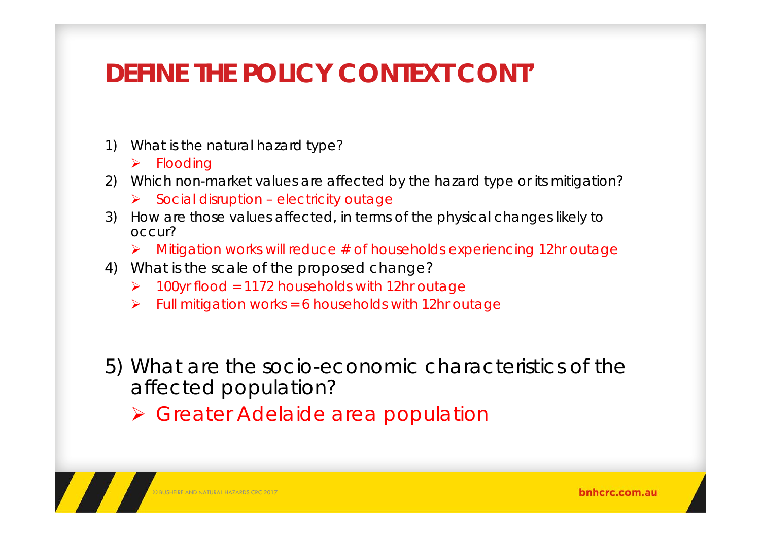## **DEFINE THE POLICY CONTEXT CONT'**

- 1) What is the natural hazard type?
	- $\blacktriangleright$ Flooding
- 2) Which non-market values are affected by the hazard type or its mitigation?
	- $\blacktriangleright$ Social disruption – electricity outage
- 3) How are those values affected, in terms of the physical changes likely to occur?
	- $\triangleright$  Mitigation works will reduce  $\#$  of households experiencing 12hr outage
- 4) What is the scale of the proposed change?
	- $\geq$  100yr flood = 1172 households with 12hr outage
	- $\triangleright$  Full mitigation works = 6 households with 12hr outage
- 5) What are the socio-economic characteristics of the affected population?
	- **> Greater Adelaide area population**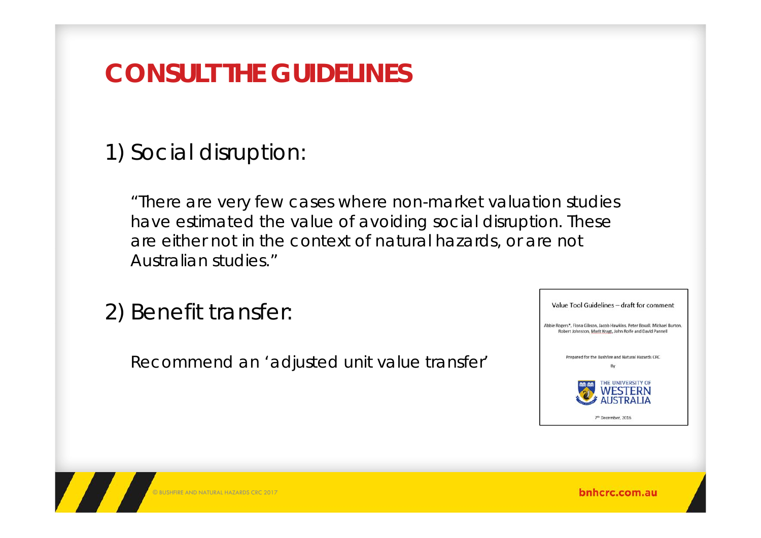## **CONSULT THE GUIDELINES**

1) Social disruption:

"There are very few cases where non-market valuation studies have estimated the value of avoiding social disruption. These are either not in the context of natural hazards, or are not Australian studies."

2) Benefit transfer:

Recommend an 'adjusted unit value transfer'

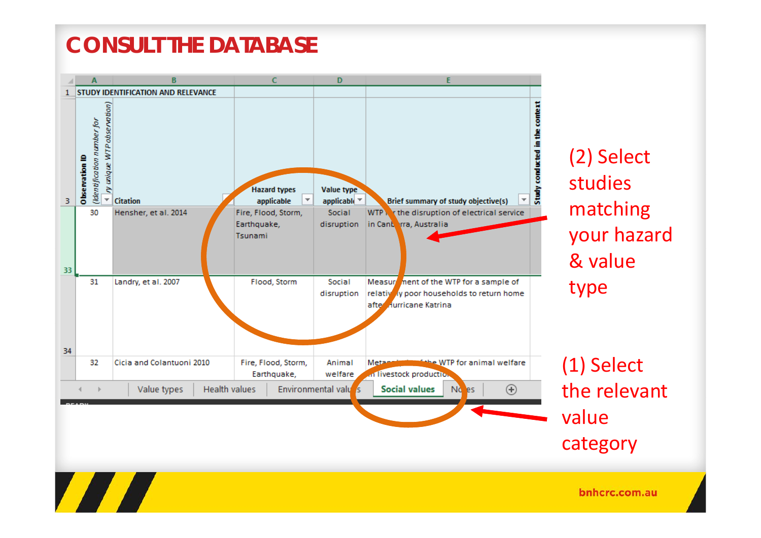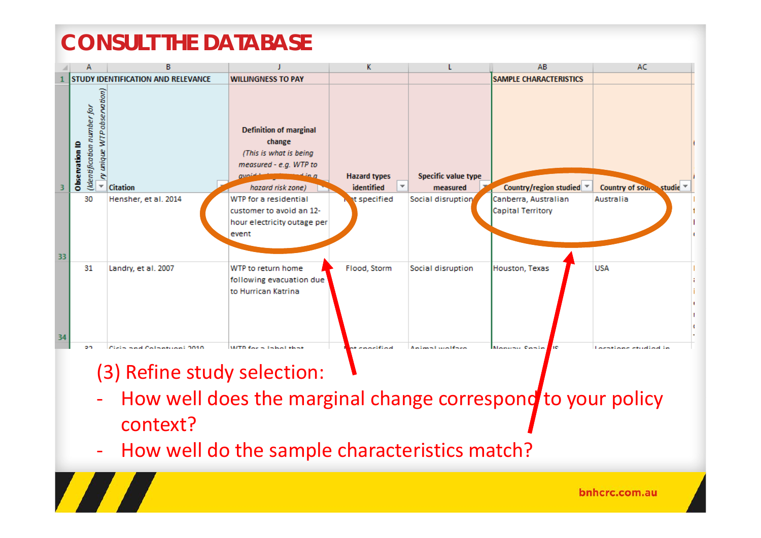#### **CONSULT THE DATABASE**

|    |                                                                                                            | в                                         |                                                                                                                                                             | K                                                      |                                                      | AB                                               | AC                                                    |
|----|------------------------------------------------------------------------------------------------------------|-------------------------------------------|-------------------------------------------------------------------------------------------------------------------------------------------------------------|--------------------------------------------------------|------------------------------------------------------|--------------------------------------------------|-------------------------------------------------------|
|    |                                                                                                            | <b>STUDY IDENTIFICATION AND RELEVANCE</b> | <b>WILLINGNESS TO PAY</b>                                                                                                                                   |                                                        |                                                      | <b>SAMPLE CHARACTERISTICS</b>                    |                                                       |
|    | WTP observation)<br>numberfor<br>(Identification<br>ry unique<br>Observe<br>$\overline{\phantom{a}}$<br>30 | <b>Citation</b><br>Hensher, et al. 2014   | <b>Definition of marginal</b><br>change<br>(This is what is being<br>measured - e.g. WTP to<br>quoid-<br>in n<br>hazard risk zone)<br>WTP for a residential | <b>Hazard types</b><br>identified<br>▼<br>et specified | Specific value type<br>measured<br>Social disruption | Country/region studied ▼<br>Canberra, Australian | studie $\overline{ }$<br>Country of sour<br>Australia |
| 33 |                                                                                                            |                                           | customer to avoid an 12-<br>hour electricity outage per<br>event                                                                                            |                                                        |                                                      | Capital Territory                                |                                                       |
| 34 | 31                                                                                                         | Landry, et al. 2007                       | WTP to return home<br>following evacuation due<br>to Hurrican Katrina                                                                                       | Flood, Storm                                           | Social disruption                                    | Houston, Texas                                   | <b>USA</b>                                            |
|    | 22                                                                                                         | Cicin and Colontuani 2010                 | WITD form Inhall that                                                                                                                                       | st cancifind.                                          | Animal wolfare                                       | Manuovi Cania.<br><b>TO</b>                      | Locations studied in                                  |

#### (3) Refine study selection:

- ‐- How well does the marginal change correspond to your policy context?
- ‐- How well do the sample characteristics match?

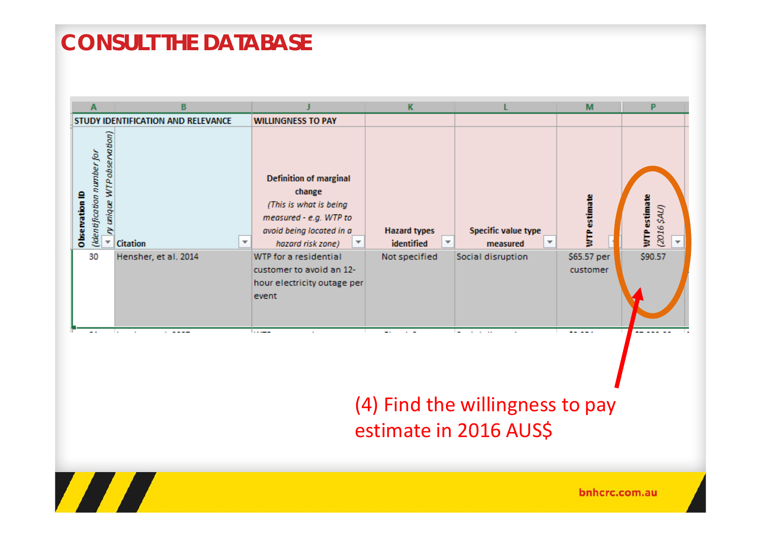#### **CONSULT THE DATABASE**

| A                                                                                          | в                                         |                          |                                                                                                                                                   | к                                                             |                                                             | M                                | P                           |
|--------------------------------------------------------------------------------------------|-------------------------------------------|--------------------------|---------------------------------------------------------------------------------------------------------------------------------------------------|---------------------------------------------------------------|-------------------------------------------------------------|----------------------------------|-----------------------------|
|                                                                                            | STUDY IDENTIFICATION AND RELEVANCE        |                          | <b>WILLINGNESS TO PAY</b>                                                                                                                         |                                                               |                                                             |                                  |                             |
| WTP observation)<br>umber for<br>Ω<br>(kientification)<br>ry unique<br><b>O</b> bservation | <b>Citation</b>                           | $\overline{\phantom{a}}$ | <b>Definition of marginal</b><br>change<br>(This is what is being<br>measured - e.g. WTP to<br>avoid being located in a<br>hazard risk zone)<br>▼ | <b>Hazard types</b><br>identified<br>$\overline{\phantom{a}}$ | Specific value type<br>$\overline{\phantom{a}}$<br>measured | timate<br>Ę                      | WTP estimate<br>(2016 \$AU) |
| 30<br>$\sim$ $\sim$                                                                        | Hensher, et al. 2014<br>÷.<br>$\sim$<br>. |                          | WTP for a residential<br>customer to avoid an 12-<br>hour electricity outage per<br>event                                                         | Not specified<br>$\cdot$ $-$<br>--                            | Social disruption<br><b>Contract Contract</b>               | \$65.57 per<br>customer<br>----- | \$90.57                     |

#### (4) Find the willingness to pay estimate in 2016 AUS\$

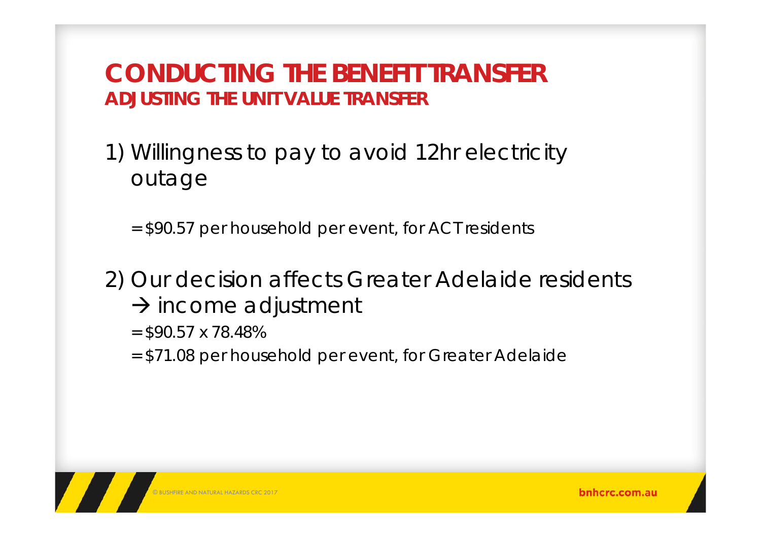#### **CONDUCTING THE BENEFIT TRANSFERADJUSTING THE UNIT VALUE TRANSFER**

1) Willingness to pay to avoid 12hr electricity outage

= \$90.57 per household per event, for ACT residents

- 2) Our decision affects Greater Adelaide residents  $\rightarrow$  income adjustment
	- $=$  \$90.57 x 78.48%
	- = \$71.08 per household per event, for Greater Adelaide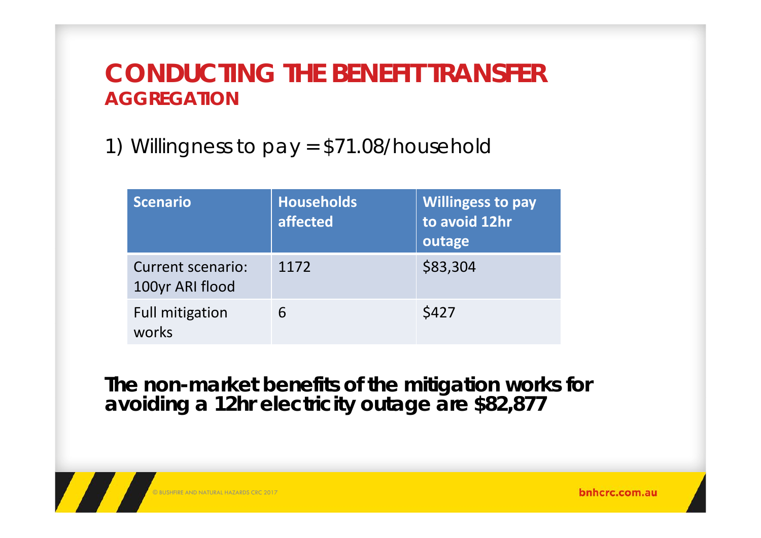#### **CONDUCTING THE BENEFIT TRANSFERAGGREGATION**

1) Willingness to pay = \$71.08/household

| <b>Scenario</b>                             | <b>Households</b><br>affected | <b>Willingess to pay</b><br>to avoid 12hr<br>outage |
|---------------------------------------------|-------------------------------|-----------------------------------------------------|
| <b>Current scenario:</b><br>100yr ARI flood | 1172                          | \$83,304                                            |
| <b>Full mitigation</b><br>works             | 6                             | \$427                                               |

**The non-market benefits of the mitigation works for avoiding a 12hr electricity outage are \$82,877**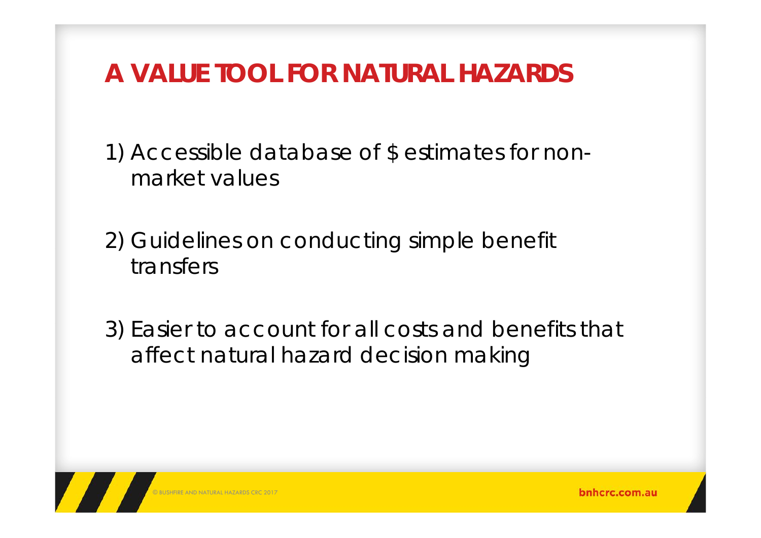## **A VALUE TOOL FOR NATURAL HAZARDS**

1) Accessible database of \$ estimates for nonmarket values

- 2) Guidelines on conducting simple benefit transfers
- 3) Easier to account for *all* costs and benefits that affect natural hazard decision making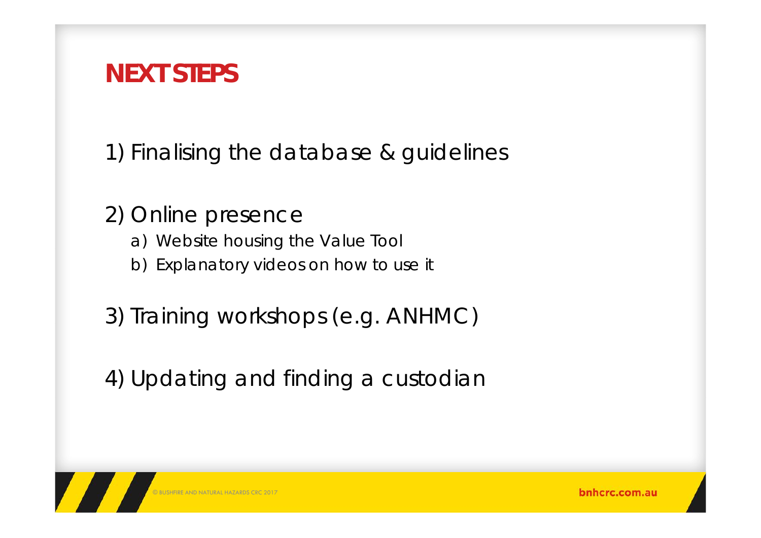#### **NEXT STEPS**

1) Finalising the database & guidelines

#### 2) Online presence

- a) Website housing the Value Tool
- b) Explanatory videos on how to use it
- 3) Training workshops (e.g. ANHMC)

4) Updating and finding a custodian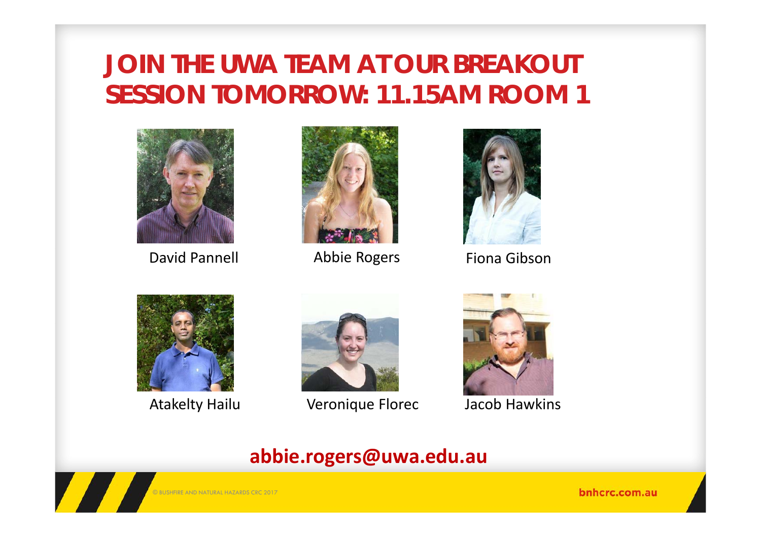## **JOIN THE UWA TEAM AT OUR BREAKOUT SESSION TOMORROW: 11.15AM ROOM 1**



David Pannell



**Abbie Rogers** 



Fiona Gibson





Atakelty Hailu Veronique Florec



Jacob Hawkins

#### **abbie.rogers@uwa.edu.au**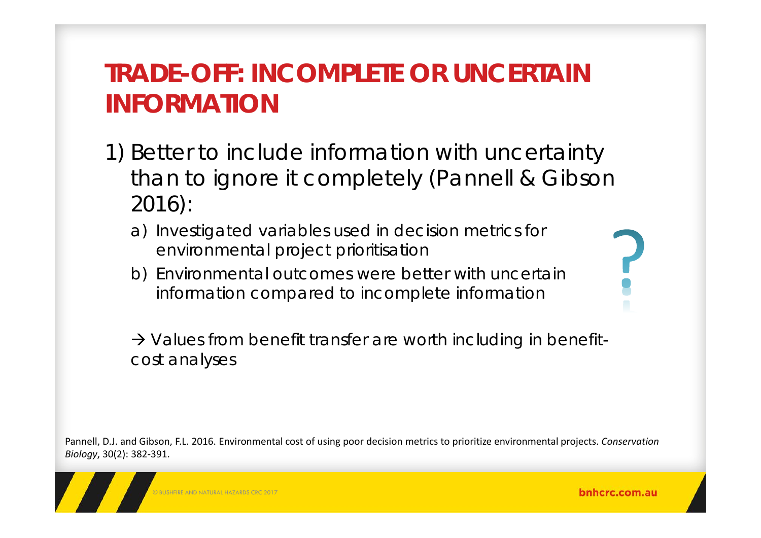## **TRADE-OFF: INCOMPLETE OR UNCERTAIN INFORMATION**

- 1) Better to include information with uncertainty than to ignore it completely (Pannell & Gibson 2016):
	- a) Investigated variables used in decision metrics for environmental project prioritisation
	- b) Environmental outcomes were better with uncertain information compared to incomplete information

 $\rightarrow$  Values from benefit transfer are worth including in benefitcost analyses

Pannell, D.J. and Gibson, F.L. 2016. Environmental cost of using poor decision metrics to prioritize environmental projects. *Conservation Biology*, 30(2): 382‐391.

© BUSHFIRE AND NATURAL HAZARDS CRC 2017